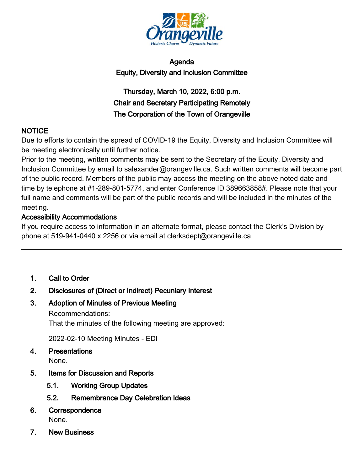

## Agenda Equity, Diversity and Inclusion Committee

# Thursday, March 10, 2022, 6:00 p.m. Chair and Secretary Participating Remotely The Corporation of the Town of Orangeville

## NOTICE

Due to efforts to contain the spread of COVID-19 the Equity, Diversity and Inclusion Committee will be meeting electronically until further notice.

Prior to the meeting, written comments may be sent to the Secretary of the Equity, Diversity and Inclusion Committee by email to salexander@orangeville.ca. Such written comments will become part of the public record. Members of the public may access the meeting on the above noted date and time by telephone at #1-289-801-5774, and enter Conference ID 389663858#. Please note that your full name and comments will be part of the public records and will be included in the minutes of the meeting.

## Accessibility Accommodations

If you require access to information in an alternate format, please contact the Clerk's Division by phone at 519-941-0440 x 2256 or via email at clerksdept@orangeville.ca

1. Call to Order

## 2. Disclosures of (Direct or Indirect) Pecuniary Interest

3. Adoption of Minutes of Previous Meeting

Recommendations: That the minutes of the following meeting are approved:

2022-02-10 Meeting Minutes - EDI

4. Presentations

None.

- 5. Items for Discussion and Reports
	- 5.1. Working Group Updates
	- 5.2. Remembrance Day Celebration Ideas
- 6. Correspondence None.
- 7. New Business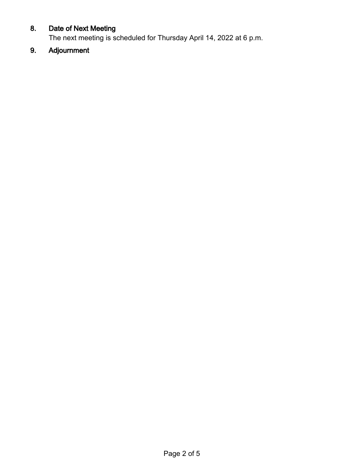## 8. Date of Next Meeting

The next meeting is scheduled for Thursday April 14, 2022 at 6 p.m.

# 9. Adjournment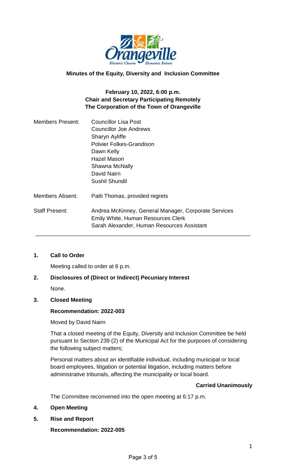

## **Minutes of the Equity, Diversity and Inclusion Committee**

## **February 10, 2022, 6:00 p.m. Chair and Secretary Participating Remotely The Corporation of the Town of Orangeville**

| <b>Councillor Lisa Post</b>                          |
|------------------------------------------------------|
| <b>Councillor Joe Andrews</b>                        |
| Sharyn Ayliffe                                       |
| <b>Polvier Folkes-Grandison</b>                      |
| Dawn Kelly                                           |
| Hazel Mason                                          |
| Shawna McNally                                       |
| David Nairn                                          |
| Sushil Shundil                                       |
| Patti Thomas, provided regrets                       |
| Andrea McKinney, General Manager, Corporate Services |
| <b>Emily White, Human Resources Clerk</b>            |
| Sarah Alexander, Human Resources Assistant           |
|                                                      |

## **1. Call to Order**

Meeting called to order at 6 p.m.

## **2. Disclosures of (Direct or Indirect) Pecuniary Interest**

None.

#### **3. Closed Meeting**

#### **Recommendation: 2022-003**

Moved by David Nairn

That a closed meeting of the Equity, Diversity and Inclusion Committee be held pursuant to Section 239 (2) of the Municipal Act for the purposes of considering the following subject matters;

Personal matters about an identifiable individual, including municipal or local board employees, litigation or potential litigation, including matters before administrative tribunals, affecting the municipality or local board.

#### **Carried Unanimously**

The Committee reconvened into the open meeting at 6:17 p.m.

## **4. Open Meeting**

**5. Rise and Report**

**Recommendation: 2022-005**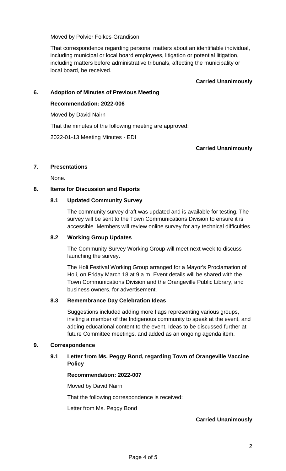Moved by Polvier Folkes-Grandison

That correspondence regarding personal matters about an identifiable individual, including municipal or local board employees, litigation or potential litigation, including matters before administrative tribunals, affecting the municipality or local board, be received.

## **Carried Unanimously**

## **6. Adoption of Minutes of Previous Meeting**

#### **Recommendation: 2022-006**

Moved by David Nairn

That the minutes of the following meeting are approved:

2022-01-13 Meeting Minutes - EDI

## **Carried Unanimously**

#### **7. Presentations**

None.

## **8. Items for Discussion and Reports**

#### **8.1 Updated Community Survey**

The community survey draft was updated and is available for testing. The survey will be sent to the Town Communications Division to ensure it is accessible. Members will review online survey for any technical difficulties.

## **8.2 Working Group Updates**

The Community Survey Working Group will meet next week to discuss launching the survey.

The Holi Festival Working Group arranged for a Mayor's Proclamation of Holi, on Friday March 18 at 9 a.m. Event details will be shared with the Town Communications Division and the Orangeville Public Library, and business owners, for advertisement.

## **8.3 Remembrance Day Celebration Ideas**

Suggestions included adding more flags representing various groups, inviting a member of the Indigenous community to speak at the event, and adding educational content to the event. Ideas to be discussed further at future Committee meetings, and added as an ongoing agenda item.

## **9. Correspondence**

## **9.1 Letter from Ms. Peggy Bond, regarding Town of Orangeville Vaccine Policy**

#### **Recommendation: 2022-007**

Moved by David Nairn

That the following correspondence is received:

Letter from Ms. Peggy Bond

## **Carried Unanimously**